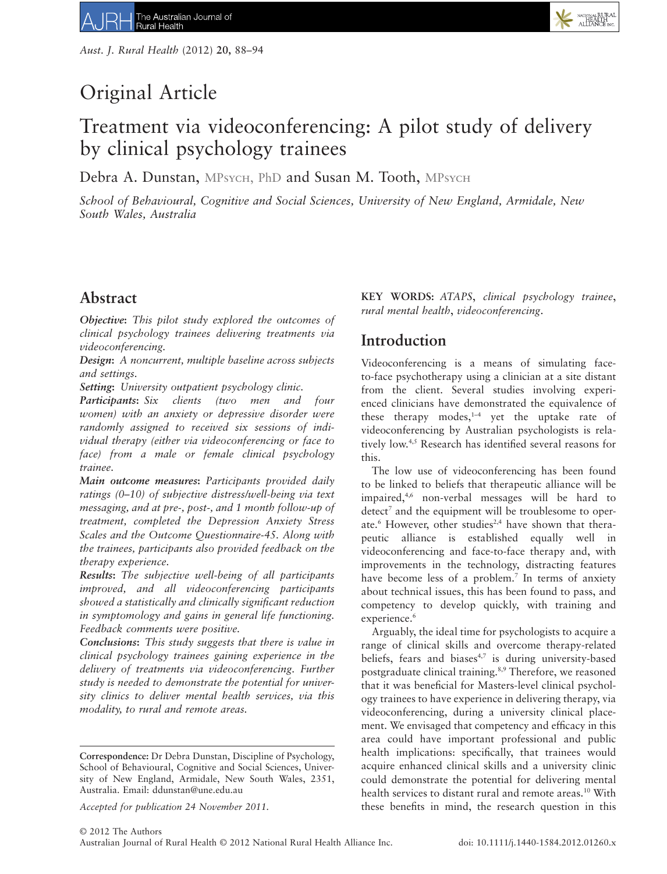# Original Article

# Treatment via videoconferencing: A pilot study of delivery by clinical psychology trainees

Debra A. Dunstan, MPsych, PhD and Susan M. Tooth, MPsych

*School of Behavioural, Cognitive and Social Sciences, University of New England, Armidale, New South Wales, Australia*

# **Abstract**

*Objective***:** *This pilot study explored the outcomes of clinical psychology trainees delivering treatments via videoconferencing.*

*Design***:** *A noncurrent, multiple baseline across subjects and settings.*

*Setting***:** *University outpatient psychology clinic.*

*Participants***:** *Six clients (two men and four women) with an anxiety or depressive disorder were randomly assigned to received six sessions of individual therapy (either via videoconferencing or face to face) from a male or female clinical psychology trainee.*

*Main outcome measures***:** *Participants provided daily ratings (0–10) of subjective distress/well-being via text messaging, and at pre-, post-, and 1 month follow-up of treatment, completed the Depression Anxiety Stress Scales and the Outcome Questionnaire-45. Along with the trainees, participants also provided feedback on the therapy experience.*

*Results***:** *The subjective well-being of all participants improved, and all videoconferencing participants showed a statistically and clinically significant reduction in symptomology and gains in general life functioning. Feedback comments were positive.*

*Conclusions***:** *This study suggests that there is value in clinical psychology trainees gaining experience in the delivery of treatments via videoconferencing. Further study is needed to demonstrate the potential for university clinics to deliver mental health services, via this modality, to rural and remote areas.*

**KEY WORDS:** *ATAPS*, *clinical psychology trainee*, *rural mental health*, *videoconferencing*.

NATIONAL RURAL<br>HEALTH<br>ALLIANCE INC

# **Introduction**

Videoconferencing is a means of simulating faceto-face psychotherapy using a clinician at a site distant from the client. Several studies involving experienced clinicians have demonstrated the equivalence of these therapy modes, $1-4$  yet the uptake rate of videoconferencing by Australian psychologists is relatively low.4,5 Research has identified several reasons for this.

The low use of videoconferencing has been found to be linked to beliefs that therapeutic alliance will be impaired,4,6 non-verbal messages will be hard to detect<sup>7</sup> and the equipment will be troublesome to operate.<sup>6</sup> However, other studies<sup>2,4</sup> have shown that therapeutic alliance is established equally well in videoconferencing and face-to-face therapy and, with improvements in the technology, distracting features have become less of a problem.<sup>7</sup> In terms of anxiety about technical issues, this has been found to pass, and competency to develop quickly, with training and experience.<sup>6</sup>

Arguably, the ideal time for psychologists to acquire a range of clinical skills and overcome therapy-related beliefs, fears and biases<sup>4,7</sup> is during university-based postgraduate clinical training.<sup>8,9</sup> Therefore, we reasoned that it was beneficial for Masters-level clinical psychology trainees to have experience in delivering therapy, via videoconferencing, during a university clinical placement. We envisaged that competency and efficacy in this area could have important professional and public health implications: specifically, that trainees would acquire enhanced clinical skills and a university clinic could demonstrate the potential for delivering mental health services to distant rural and remote areas.<sup>10</sup> With these benefits in mind, the research question in this

**Correspondence:** Dr Debra Dunstan, Discipline of Psychology, School of Behavioural, Cognitive and Social Sciences, University of New England, Armidale, New South Wales, 2351, Australia. Email: ddunstan@une.edu.au

*Accepted for publication 24 November 2011.*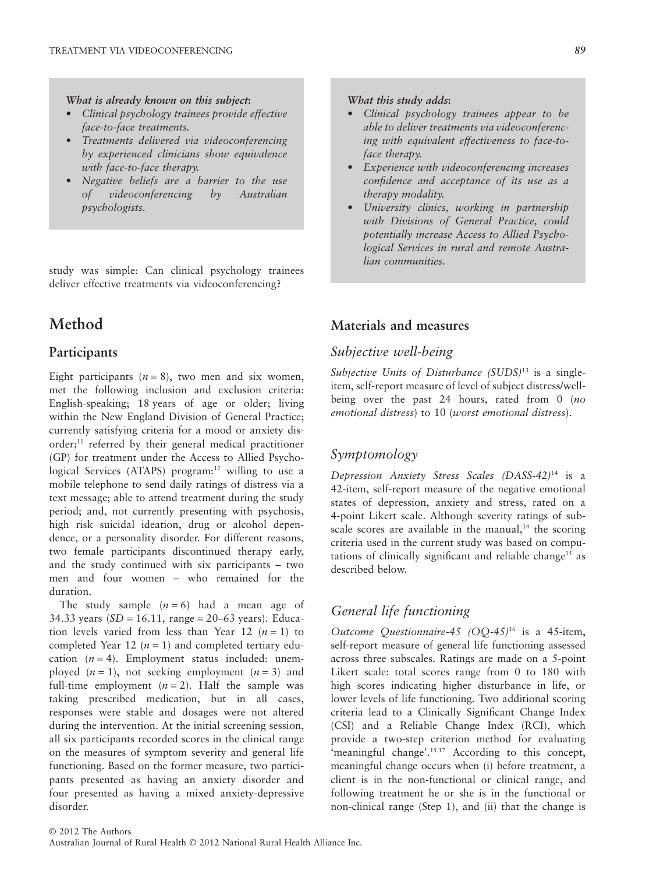*What is already known on this subject***:**

- *Clinical psychology trainees provide effective face-to-face treatments.*
- *Treatments delivered via videoconferencing by experienced clinicians show equivalence with face-to-face therapy.*
- *Negative beliefs are a barrier to the use of videoconferencing by Australian psychologists.*

study was simple: Can clinical psychology trainees deliver effective treatments via videoconferencing?

# **Method**

# **Participants**

Eight participants  $(n = 8)$ , two men and six women, met the following inclusion and exclusion criteria: English-speaking; 18 years of age or older; living within the New England Division of General Practice; currently satisfying criteria for a mood or anxiety disorder;11 referred by their general medical practitioner (GP) for treatment under the Access to Allied Psychological Services (ATAPS) program:<sup>12</sup> willing to use a mobile telephone to send daily ratings of distress via a text message; able to attend treatment during the study period; and, not currently presenting with psychosis, high risk suicidal ideation, drug or alcohol dependence, or a personality disorder. For different reasons, two female participants discontinued therapy early, and the study continued with six participants – two men and four women – who remained for the duration.

The study sample  $(n = 6)$  had a mean age of 34.33 years  $(SD = 16.11$ , range = 20–63 years). Education levels varied from less than Year 12  $(n = 1)$  to completed Year 12 ( $n = 1$ ) and completed tertiary education  $(n = 4)$ . Employment status included: unemployed  $(n = 1)$ , not seeking employment  $(n = 3)$  and full-time employment  $(n = 2)$ . Half the sample was taking prescribed medication, but in all cases, responses were stable and dosages were not altered during the intervention. At the initial screening session, all six participants recorded scores in the clinical range on the measures of symptom severity and general life functioning. Based on the former measure, two participants presented as having an anxiety disorder and four presented as having a mixed anxiety-depressive disorder.

#### *What this study adds***:**

- *Clinical psychology trainees appear to be able to deliver treatments via videoconferencing with equivalent effectiveness to face-toface therapy.*
- *Experience with videoconferencing increases confidence and acceptance of its use as a therapy modality.*
- *University clinics, working in partnership with Divisions of General Practice, could potentially increase Access to Allied Psychological Services in rural and remote Australian communities.*

### **Materials and measures**

## *Subjective well-being*

*Subjective Units of Disturbance (SUDS)*<sup>13</sup> is a singleitem, self-report measure of level of subject distress/wellbeing over the past 24 hours, rated from 0 (*no emotional distress*) to 10 (*worst emotional distress*).

# *Symptomology*

*Depression Anxiety Stress Scales (DASS-42)*<sup>14</sup> is a 42-item, self-report measure of the negative emotional states of depression, anxiety and stress, rated on a 4-point Likert scale. Although severity ratings of subscale scores are available in the manual, $14$  the scoring criteria used in the current study was based on computations of clinically significant and reliable change<sup>15</sup> as described below.

# *General life functioning*

*Outcome Questionnaire-45 (OQ-45)*<sup>16</sup> is a 45-item, self-report measure of general life functioning assessed across three subscales. Ratings are made on a 5-point Likert scale: total scores range from 0 to 180 with high scores indicating higher disturbance in life, or lower levels of life functioning. Two additional scoring criteria lead to a Clinically Significant Change Index (CSI) and a Reliable Change Index (RCI), which provide a two-step criterion method for evaluating 'meaningful change'.<sup>15,17</sup> According to this concept, meaningful change occurs when (i) before treatment, a client is in the non-functional or clinical range, and following treatment he or she is in the functional or non-clinical range (Step 1), and (ii) that the change is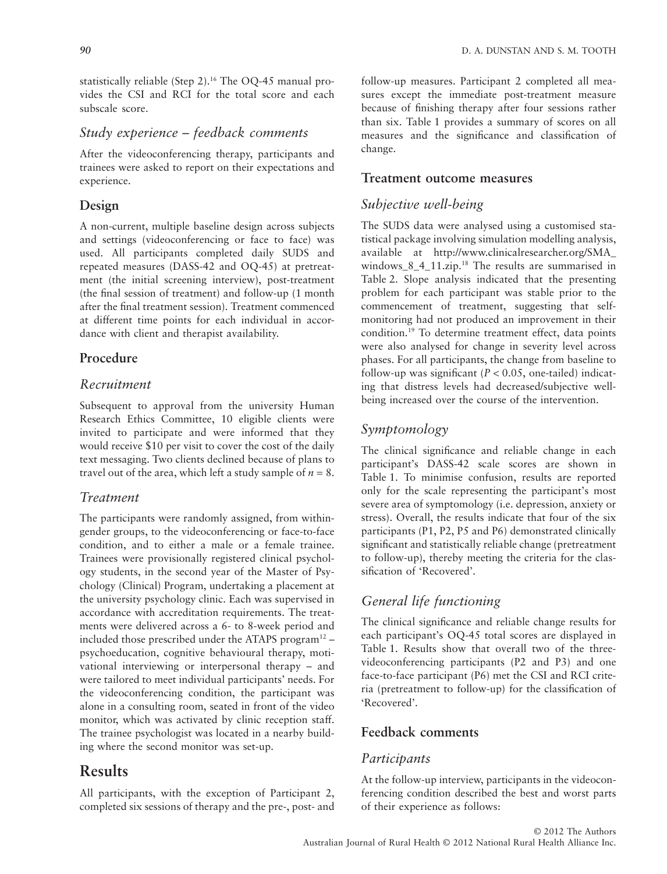statistically reliable (Step 2).<sup>16</sup> The OQ-45 manual provides the CSI and RCI for the total score and each subscale score.

# *Study experience – feedback comments*

After the videoconferencing therapy, participants and trainees were asked to report on their expectations and experience.

### **Design**

A non-current, multiple baseline design across subjects and settings (videoconferencing or face to face) was used. All participants completed daily SUDS and repeated measures (DASS-42 and OQ-45) at pretreatment (the initial screening interview), post-treatment (the final session of treatment) and follow-up (1 month after the final treatment session). Treatment commenced at different time points for each individual in accordance with client and therapist availability.

### **Procedure**

# *Recruitment*

Subsequent to approval from the university Human Research Ethics Committee, 10 eligible clients were invited to participate and were informed that they would receive \$10 per visit to cover the cost of the daily text messaging. Two clients declined because of plans to travel out of the area, which left a study sample of  $n = 8$ .

## *Treatment*

The participants were randomly assigned, from withingender groups, to the videoconferencing or face-to-face condition, and to either a male or a female trainee. Trainees were provisionally registered clinical psychology students, in the second year of the Master of Psychology (Clinical) Program, undertaking a placement at the university psychology clinic. Each was supervised in accordance with accreditation requirements. The treatments were delivered across a 6- to 8-week period and included those prescribed under the ATAPS program $12$  – psychoeducation, cognitive behavioural therapy, motivational interviewing or interpersonal therapy – and were tailored to meet individual participants' needs. For the videoconferencing condition, the participant was alone in a consulting room, seated in front of the video monitor, which was activated by clinic reception staff. The trainee psychologist was located in a nearby building where the second monitor was set-up.

# **Results**

All participants, with the exception of Participant 2, completed six sessions of therapy and the pre-, post- and

follow-up measures. Participant 2 completed all measures except the immediate post-treatment measure because of finishing therapy after four sessions rather than six. Table 1 provides a summary of scores on all measures and the significance and classification of change.

### **Treatment outcome measures**

# *Subjective well-being*

The SUDS data were analysed using a customised statistical package involving simulation modelling analysis, available at http://www.clinicalresearcher.org/SMA\_ windows 8 4 11.zip.<sup>18</sup> The results are summarised in Table 2. Slope analysis indicated that the presenting problem for each participant was stable prior to the commencement of treatment, suggesting that selfmonitoring had not produced an improvement in their condition.19 To determine treatment effect, data points were also analysed for change in severity level across phases. For all participants, the change from baseline to follow-up was significant  $(P < 0.05$ , one-tailed) indicating that distress levels had decreased/subjective wellbeing increased over the course of the intervention.

# *Symptomology*

The clinical significance and reliable change in each participant's DASS-42 scale scores are shown in Table 1. To minimise confusion, results are reported only for the scale representing the participant's most severe area of symptomology (i.e. depression, anxiety or stress). Overall, the results indicate that four of the six participants (P1, P2, P5 and P6) demonstrated clinically significant and statistically reliable change (pretreatment to follow-up), thereby meeting the criteria for the classification of 'Recovered'.

# *General life functioning*

The clinical significance and reliable change results for each participant's OQ-45 total scores are displayed in Table 1. Results show that overall two of the threevideoconferencing participants (P2 and P3) and one face-to-face participant (P6) met the CSI and RCI criteria (pretreatment to follow-up) for the classification of 'Recovered'.

### **Feedback comments**

## *Participants*

At the follow-up interview, participants in the videoconferencing condition described the best and worst parts of their experience as follows: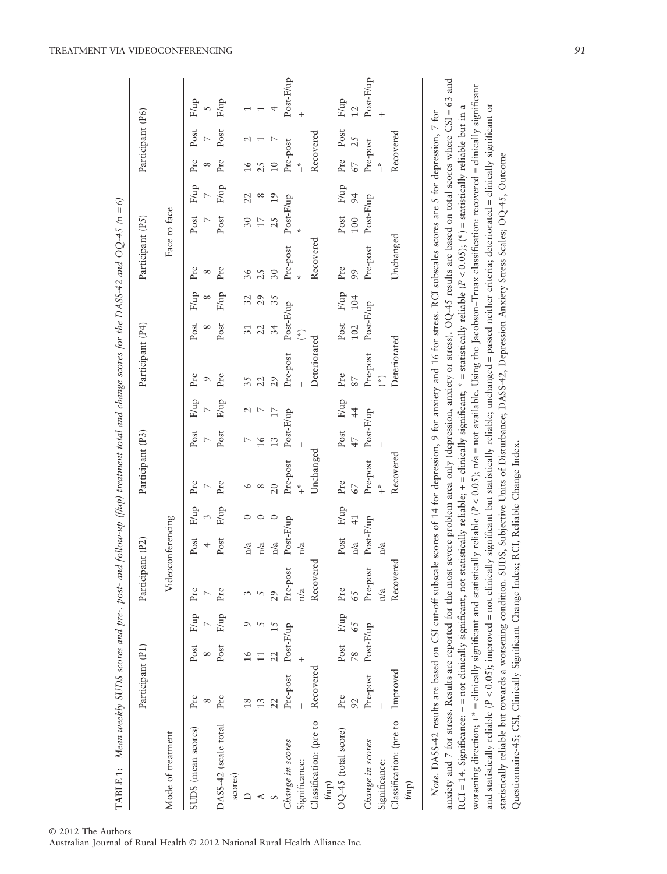|                                                                                                                                                                                                                                                                                                                                                                                                                                                                                                                                                            | Participant (P1) |               |                 | Participant (P2)  |             |                       | Participant (P3) |               |                            | Participant (P4)  |                  |                  | Participant (P5) |              |                 |                 | Participant (P6) |                         |
|------------------------------------------------------------------------------------------------------------------------------------------------------------------------------------------------------------------------------------------------------------------------------------------------------------------------------------------------------------------------------------------------------------------------------------------------------------------------------------------------------------------------------------------------------------|------------------|---------------|-----------------|-------------------|-------------|-----------------------|------------------|---------------|----------------------------|-------------------|------------------|------------------|------------------|--------------|-----------------|-----------------|------------------|-------------------------|
| Mode of treatment                                                                                                                                                                                                                                                                                                                                                                                                                                                                                                                                          |                  |               |                 | Videoconferencing |             |                       |                  |               |                            |                   |                  |                  |                  | Face to face |                 |                 |                  |                         |
| SUDS (mean scores)                                                                                                                                                                                                                                                                                                                                                                                                                                                                                                                                         | Pre<br>∞         | Post          | F/up            | $\Pr$             | Post<br>4   | F/up                  | Pre              | Post          | F/up                       | Pre<br>$\sigma$   | Post<br>∞        | F/up<br>$\infty$ | Pre<br>∞         |              | Post F/up       | Pre             | Post             | F/up<br>$\overline{5}$  |
| DASS-42 (scale total<br>scores)                                                                                                                                                                                                                                                                                                                                                                                                                                                                                                                            | $Pr$ e           | Post          | F/up            | Pre               | Post        | F/up                  | Pre              | Post          | F/up                       | Pre               | Post             | F/up             | Pre              | Post         | F/up            | Pre             | Post             | F/up                    |
|                                                                                                                                                                                                                                                                                                                                                                                                                                                                                                                                                            | 18               | ٵ             |                 |                   | n/a         |                       | ৩                |               |                            |                   |                  |                  | 36               | 30           |                 | $\frac{6}{1}$   |                  |                         |
|                                                                                                                                                                                                                                                                                                                                                                                                                                                                                                                                                            | 13               |               |                 |                   | n/a         |                       | ${}^{\circ}$     | $\frac{6}{ }$ |                            | 22                | 22               | 29               | 25               |              |                 |                 |                  |                         |
|                                                                                                                                                                                                                                                                                                                                                                                                                                                                                                                                                            | 22               |               |                 | 29                | n/a         |                       | 20               | 13            |                            | 29                | 34               | 35               | 30               |              |                 | $\supseteq$     |                  |                         |
| Change in scores                                                                                                                                                                                                                                                                                                                                                                                                                                                                                                                                           | Pre-post         | Post-F/up     |                 | Pre-post          | Post-F/up   |                       | Pre-post         | Post-F/up     |                            | Pre-post          | Post-F/up        |                  | Pre-post         | Post-F/up    |                 | Pre-post        |                  | Post-F/up               |
| Significance:                                                                                                                                                                                                                                                                                                                                                                                                                                                                                                                                              |                  |               |                 | n/a               | n/a         |                       | $*$              |               |                            |                   | $\binom{*}{k}$   |                  |                  |              |                 | $*$             |                  | $^{+}$                  |
| Classification: (pre to<br>$f$ up)                                                                                                                                                                                                                                                                                                                                                                                                                                                                                                                         | Recovered        |               |                 | Recovered         |             |                       | Unchanged        |               |                            | Deteriorated      |                  |                  | Recovered        |              |                 | Recovered       |                  |                         |
| OQ-45 (total score)                                                                                                                                                                                                                                                                                                                                                                                                                                                                                                                                        | Pre<br>92        | $\frac{8}{2}$ | Post F/up<br>65 | Pre<br>65         | Post<br>n/a | F/up<br>$\frac{1}{4}$ | Pre<br>67        | 47            | Post F/up<br>$\frac{4}{4}$ | Pre               | Post F/up<br>102 | 104              | $Pr$ e<br>99     | 100          | Post F/up<br>94 | Pre Post<br>67  | 25               | F/up<br>$\overline{12}$ |
| Change in scores<br>Significance:                                                                                                                                                                                                                                                                                                                                                                                                                                                                                                                          | Pre-post         | Post-F/up     |                 | Pre-post          | Post-F/up   |                       | Pre-post<br>$*$  | Post-F/up     |                            | Pre-post<br>$(*)$ | Post-F/up        |                  | Pre-post         | Post-F/up    |                 | Pre-post<br>$*$ |                  | Post-F/up               |
| Classification: (pre to<br>$f(\text{up})$                                                                                                                                                                                                                                                                                                                                                                                                                                                                                                                  | Improved         |               |                 | Recovered<br>n/a  | n/a         |                       | Recovered        |               |                            | Deteriorated      |                  |                  | Unchanged        |              |                 | Recovered       |                  | $\ddot{}$               |
| anxiety and 7 for stress. Results are reported for the most severe problem area only (depression, anxiety or stress). OQ-45 results are based on total scores where CSI = 63 and<br>RCI = 14. Significance: - = not clinically significant, not statistically reliable; + = clinically significant; * = statistically reliable (P < 0.05); (*) = statistically reliable but in a<br>Note. DASS-42 results are based on CSI cut-off subscale scores of 14 for depression, 9 for anxiety and 16 for stress. RCI subscales scores are 5 for depression, 7 for |                  |               |                 |                   |             |                       |                  |               |                            |                   |                  |                  |                  |              |                 |                 |                  |                         |

TREATMENT VIA VIDEOCONFERENCING *91*

worsening direction;  $+^* =$  clinically significant and statistically reliable (

and statistically reliable (

worsening direction; +\* = clinically significant and statistically reliable (P < 0.05); n/a = not available. Using the Jacobson-Truax classification: recovered = clinically significant

and statistically reliable ( $P < 0.05$ ); improved = not clinically significant but statistically reliable; unchanged = passed neither criteria; deteriorated = clinically significant or

statistically reliable but towards a worsening condition. SUDS, Subjective Units of Disturbance; DASS-42, Depression Anxiety Stress Scales; OQ-45, Outcome

statistically reliable but towards a worsening condition. SUDS, Subjective Units of Disturbance; DASS-42, Depression Anxiety Stress Scales; OQ-45, Outcome

Questionnaire-45; CSI, Clinically Significant Change Index; RCI, Reliable Change Index.

Questionnaire-45; CSI, Clinically Significant Change Index; RCI, Reliable Change Index.

< 0.05); improved = not clinically significant but statistically reliable; unchanged = passed neither criteria; deteriorated = clinically significant or

< 0.05); n/a = not available. Using the Jacobson–Truax classification: recovered = clinically significant

© 2012 The Authors

Australian Journal of Rural Health © 2012 National Rural Health Alliance Inc.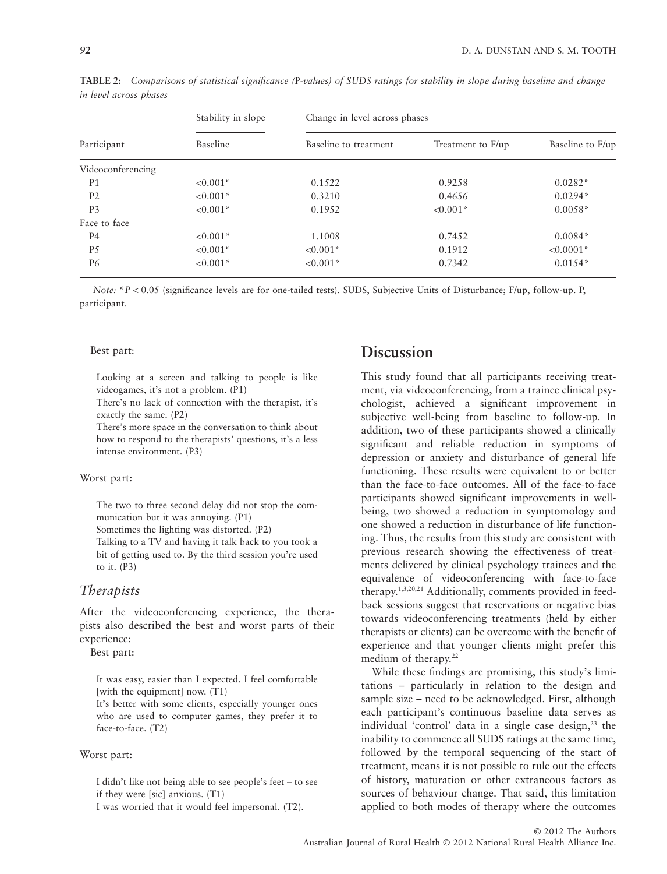|                   | Stability in slope | Change in level across phases |                   |                  |  |
|-------------------|--------------------|-------------------------------|-------------------|------------------|--|
| Participant       | Baseline           | Baseline to treatment         | Treatment to F/up | Baseline to F/up |  |
| Videoconferencing |                    |                               |                   |                  |  |
| P <sub>1</sub>    | $< 0.001*$         | 0.1522                        | 0.9258            | $0.0282*$        |  |
| P <sub>2</sub>    | $< 0.001*$         | 0.3210                        | 0.4656            | $0.0294*$        |  |
| P <sub>3</sub>    | $< 0.001*$         | 0.1952                        | $< 0.001*$        | $0.0058*$        |  |
| Face to face      |                    |                               |                   |                  |  |
| P4                | $< 0.001*$         | 1.1008                        | 0.7452            | $0.0084*$        |  |
| P <sub>5</sub>    | $< 0.001*$         | $< 0.001*$                    | 0.1912            | $< 0.0001*$      |  |
| P6                | $< 0.001*$         | $< 0.001*$                    | 0.7342            | $0.0154*$        |  |

**TABLE 2:** *Comparisons of statistical significance (*P*-values) of SUDS ratings for stability in slope during baseline and change in level across phases*

*Note:* \**P* < 0.05 (significance levels are for one-tailed tests). SUDS, Subjective Units of Disturbance; F/up, follow-up. P, participant.

#### Best part:

Looking at a screen and talking to people is like videogames, it's not a problem. (P1)

There's no lack of connection with the therapist, it's exactly the same. (P2)

There's more space in the conversation to think about how to respond to the therapists' questions, it's a less intense environment. (P3)

#### Worst part:

The two to three second delay did not stop the communication but it was annoying. (P1) Sometimes the lighting was distorted. (P2) Talking to a TV and having it talk back to you took a bit of getting used to. By the third session you're used to it. (P3)

### *Therapists*

After the videoconferencing experience, the therapists also described the best and worst parts of their experience:

Best part:

It was easy, easier than I expected. I feel comfortable [with the equipment] now.  $(T1)$ 

It's better with some clients, especially younger ones who are used to computer games, they prefer it to face-to-face. (T2)

#### Worst part:

I didn't like not being able to see people's feet – to see if they were [sic] anxious. (T1)

I was worried that it would feel impersonal. (T2).

# **Discussion**

This study found that all participants receiving treatment, via videoconferencing, from a trainee clinical psychologist, achieved a significant improvement in subjective well-being from baseline to follow-up. In addition, two of these participants showed a clinically significant and reliable reduction in symptoms of depression or anxiety and disturbance of general life functioning. These results were equivalent to or better than the face-to-face outcomes. All of the face-to-face participants showed significant improvements in wellbeing, two showed a reduction in symptomology and one showed a reduction in disturbance of life functioning. Thus, the results from this study are consistent with previous research showing the effectiveness of treatments delivered by clinical psychology trainees and the equivalence of videoconferencing with face-to-face therapy.1,3,20,21 Additionally, comments provided in feedback sessions suggest that reservations or negative bias towards videoconferencing treatments (held by either therapists or clients) can be overcome with the benefit of experience and that younger clients might prefer this medium of therapy.<sup>22</sup>

While these findings are promising, this study's limitations – particularly in relation to the design and sample size – need to be acknowledged. First, although each participant's continuous baseline data serves as individual 'control' data in a single case design, $23$  the inability to commence all SUDS ratings at the same time, followed by the temporal sequencing of the start of treatment, means it is not possible to rule out the effects of history, maturation or other extraneous factors as sources of behaviour change. That said, this limitation applied to both modes of therapy where the outcomes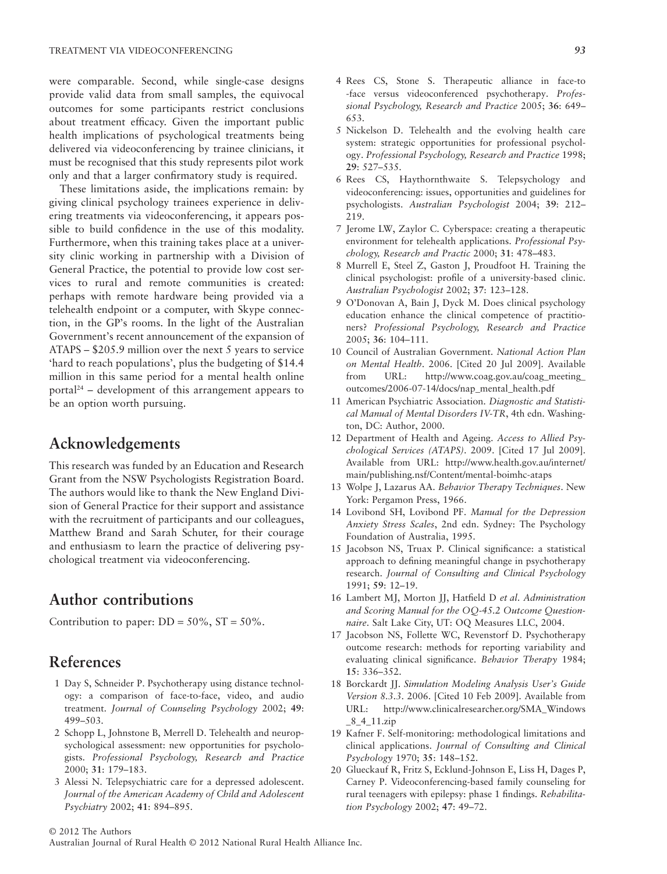were comparable. Second, while single-case designs provide valid data from small samples, the equivocal outcomes for some participants restrict conclusions about treatment efficacy. Given the important public health implications of psychological treatments being delivered via videoconferencing by trainee clinicians, it must be recognised that this study represents pilot work only and that a larger confirmatory study is required.

These limitations aside, the implications remain: by giving clinical psychology trainees experience in delivering treatments via videoconferencing, it appears possible to build confidence in the use of this modality. Furthermore, when this training takes place at a university clinic working in partnership with a Division of General Practice, the potential to provide low cost services to rural and remote communities is created: perhaps with remote hardware being provided via a telehealth endpoint or a computer, with Skype connection, in the GP's rooms. In the light of the Australian Government's recent announcement of the expansion of ATAPS – \$205.9 million over the next 5 years to service 'hard to reach populations', plus the budgeting of \$14.4 million in this same period for a mental health online portal<sup>24</sup> – development of this arrangement appears to be an option worth pursuing.

# **Acknowledgements**

This research was funded by an Education and Research Grant from the NSW Psychologists Registration Board. The authors would like to thank the New England Division of General Practice for their support and assistance with the recruitment of participants and our colleagues, Matthew Brand and Sarah Schuter, for their courage and enthusiasm to learn the practice of delivering psychological treatment via videoconferencing.

# **Author contributions**

Contribution to paper:  $DD = 50\%$ ,  $ST = 50\%$ .

# **References**

- 1 Day S, Schneider P. Psychotherapy using distance technology: a comparison of face-to-face, video, and audio treatment. *Journal of Counseling Psychology* 2002; **49**: 499–503.
- 2 Schopp L, Johnstone B, Merrell D. Telehealth and neuropsychological assessment: new opportunities for psychologists. *Professional Psychology, Research and Practice* 2000; **31**: 179–183.
- 3 Alessi N. Telepsychiatric care for a depressed adolescent. *Journal of the American Academy of Child and Adolescent Psychiatry* 2002; **41**: 894–895.
- 4 Rees CS, Stone S. Therapeutic alliance in face-to -face versus videoconferenced psychotherapy. *Professional Psychology, Research and Practice* 2005; **36**: 649– 653.
- 5 Nickelson D. Telehealth and the evolving health care system: strategic opportunities for professional psychology. *Professional Psychology, Research and Practice* 1998; **29**: 527–535.
- 6 Rees CS, Haythornthwaite S. Telepsychology and videoconferencing: issues, opportunities and guidelines for psychologists. *Australian Psychologist* 2004; **39**: 212– 219.
- 7 Jerome LW, Zaylor C. Cyberspace: creating a therapeutic environment for telehealth applications. *Professional Psychology, Research and Practic* 2000; **31**: 478–483.
- 8 Murrell E, Steel Z, Gaston J, Proudfoot H. Training the clinical psychologist: profile of a university-based clinic. *Australian Psychologist* 2002; **37**: 123–128.
- 9 O'Donovan A, Bain J, Dyck M. Does clinical psychology education enhance the clinical competence of practitioners? *Professional Psychology, Research and Practice* 2005; **36**: 104–111.
- 10 Council of Australian Government. *National Action Plan on Mental Health*. 2006. [Cited 20 Jul 2009]. Available from URL: http://www.coag.gov.au/coag\_meeting\_ outcomes/2006-07-14/docs/nap\_mental\_health.pdf
- 11 American Psychiatric Association. *Diagnostic and Statistical Manual of Mental Disorders IV-TR*, 4th edn. Washington, DC: Author, 2000.
- 12 Department of Health and Ageing. *Access to Allied Psychological Services (ATAPS)*. 2009. [Cited 17 Jul 2009]. Available from URL: http://www.health.gov.au/internet/ main/publishing.nsf/Content/mental-boimhc-ataps
- 13 Wolpe J, Lazarus AA. *Behavior Therapy Techniques*. New York: Pergamon Press, 1966.
- 14 Lovibond SH, Lovibond PF. *Manual for the Depression Anxiety Stress Scales*, 2nd edn. Sydney: The Psychology Foundation of Australia, 1995.
- 15 Jacobson NS, Truax P. Clinical significance: a statistical approach to defining meaningful change in psychotherapy research. *Journal of Consulting and Clinical Psychology* 1991; **59**: 12–19.
- 16 Lambert MJ, Morton JJ, Hatfield D *et al*. *Administration and Scoring Manual for the OQ-45.2 Outcome Questionnaire*. Salt Lake City, UT: OQ Measures LLC, 2004.
- 17 Jacobson NS, Follette WC, Revenstorf D. Psychotherapy outcome research: methods for reporting variability and evaluating clinical significance. *Behavior Therapy* 1984; **15**: 336–352.
- 18 Borckardt JJ. *Simulation Modeling Analysis User's Guide Version 8.3.3*. 2006. [Cited 10 Feb 2009]. Available from URL: http://www.clinicalresearcher.org/SMA\_Windows  $-8$ <sup>-4</sup><sup>-11.zip</sup>
- 19 Kafner F. Self-monitoring: methodological limitations and clinical applications. *Journal of Consulting and Clinical Psychology* 1970; **35**: 148–152.
- 20 Glueckauf R, Fritz S, Ecklund-Johnson E, Liss H, Dages P, Carney P. Videoconferencing-based family counseling for rural teenagers with epilepsy: phase 1 findings. *Rehabilitation Psychology* 2002; **47**: 49–72.

© 2012 The Authors

Australian Journal of Rural Health © 2012 National Rural Health Alliance Inc.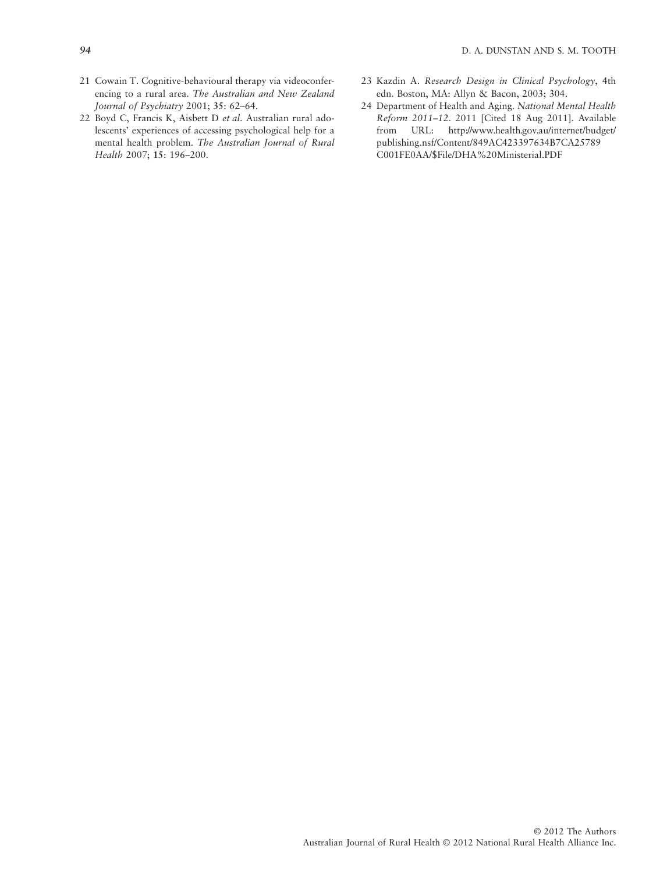- 21 Cowain T. Cognitive-behavioural therapy via videoconferencing to a rural area. *The Australian and New Zealand Journal of Psychiatry* 2001; **35**: 62–64.
- 22 Boyd C, Francis K, Aisbett D *et al*. Australian rural adolescents' experiences of accessing psychological help for a mental health problem. *The Australian Journal of Rural Health* 2007; **15**: 196–200.
- 23 Kazdin A. *Research Design in Clinical Psychology*, 4th edn. Boston, MA: Allyn & Bacon, 2003; 304.
- 24 Department of Health and Aging. *National Mental Health Reform 2011–12*. 2011 [Cited 18 Aug 2011]. Available from URL: http://www.health.gov.au/internet/budget/ publishing.nsf/Content/849AC423397634B7CA25789 C001FE0AA/\$File/DHA%20Ministerial.PDF